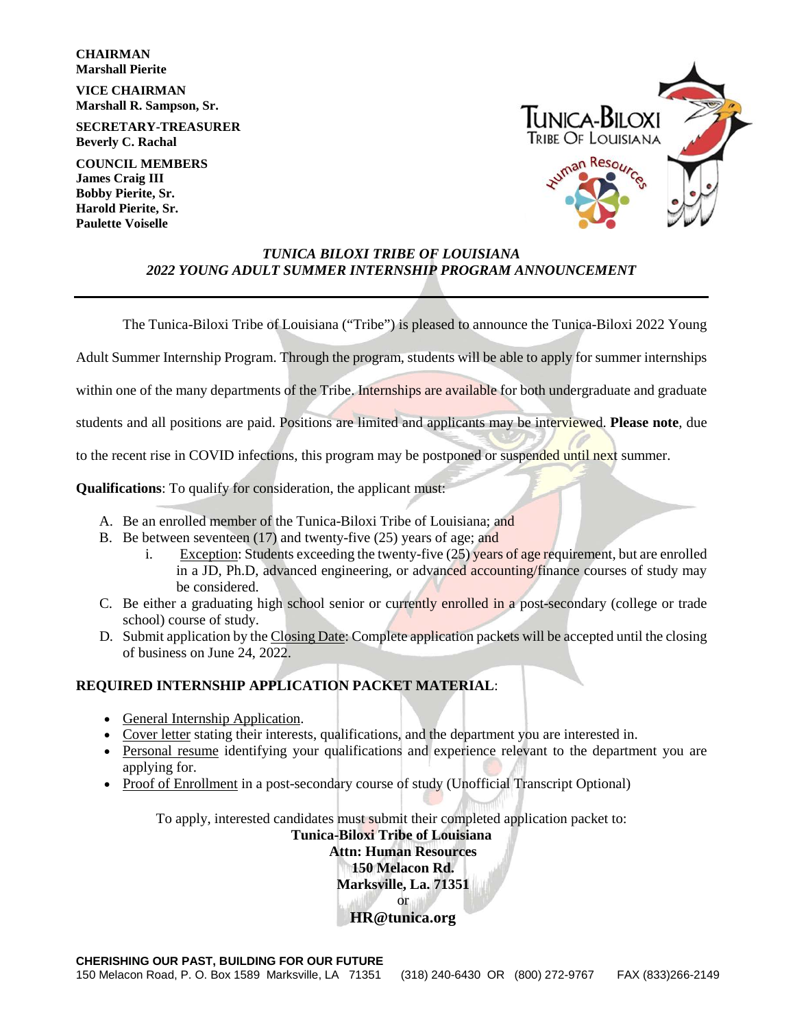**CHAIRMAN Marshall Pierite** 

**VICE CHAIRMAN Marshall R. Sampson, Sr.**

**SECRETARY-TREASURER Beverly C. Rachal**

**COUNCIL MEMBERS James Craig III Bobby Pierite, Sr. Harold Pierite, Sr. Paulette Voiselle**



#### *TUNICA BILOXI TRIBE OF LOUISIANA 2022 YOUNG ADULT SUMMER INTERNSHIP PROGRAM ANNOUNCEMENT*

The Tunica-Biloxi Tribe of Louisiana ("Tribe") is pleased to announce the Tunica-Biloxi 2022 Young

Adult Summer Internship Program. Through the program, students will be able to apply for summer internships

within one of the many departments of the Tribe. Internships are available for both undergraduate and graduate

students and all positions are paid. Positions are limited and applicants may be interviewed. **Please note**, due

to the recent rise in COVID infections, this program may be postponed or suspended until next summer.

**Qualifications**: To qualify for consideration, the applicant must:

- A. Be an enrolled member of the Tunica-Biloxi Tribe of Louisiana; and
- B. Be between seventeen (17) and twenty-five (25) years of age; and
	- i. Exception: Students exceeding the twenty-five (25) years of age requirement, but are enrolled in a JD, Ph.D, advanced engineering, or advanced accounting/finance courses of study may be considered.
- C. Be either a graduating high school senior or currently enrolled in a post-secondary (college or trade school) course of study.
- D. Submit application by the Closing Date: Complete application packets will be accepted until the closing of business on June 24, 2022.

### **REQUIRED INTERNSHIP APPLICATION PACKET MATERIAL**:

- General Internship Application.
- Cover letter stating their interests, qualifications, and the department you are interested in.
- Personal resume identifying your qualifications and experience relevant to the department you are applying for.
- Proof of Enrollment in a post-secondary course of study (Unofficial Transcript Optional)

To apply, interested candidates must submit their completed application packet to:

### **Tunica-Biloxi Tribe of Louisiana Attn: Human Resources 150 Melacon Rd. Marksville, La. 71351** or **HR@tunica.org**

**CHERISHING OUR PAST, BUILDING FOR OUR FUTURE**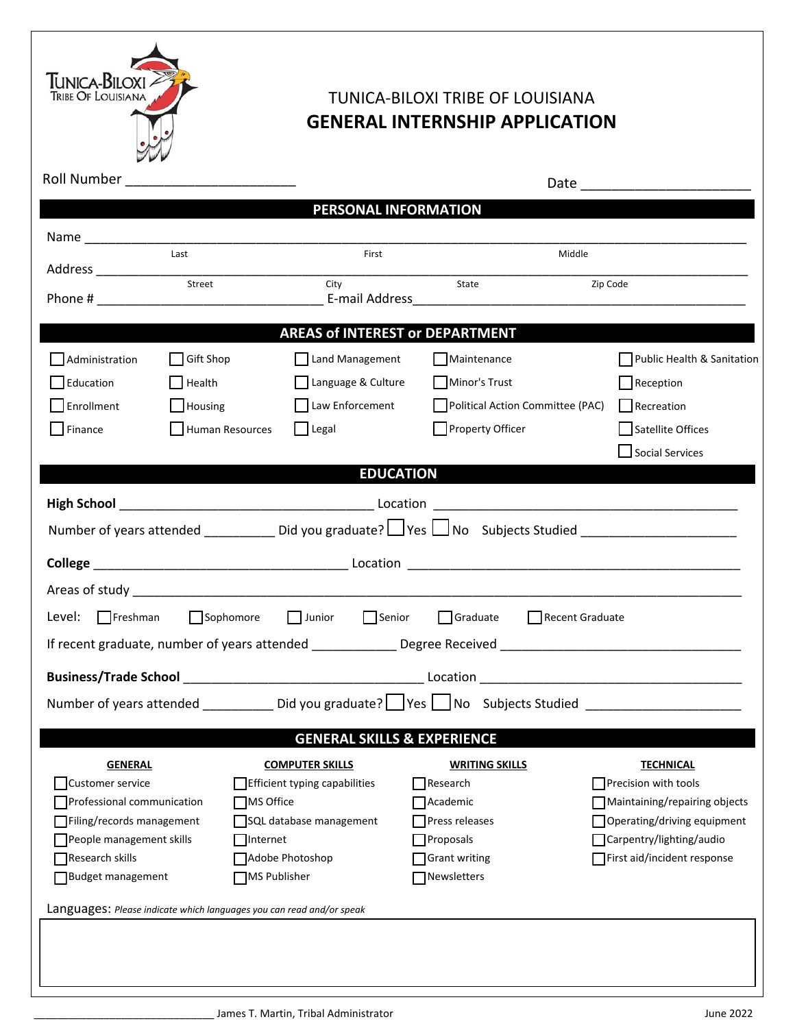

# TUNICA-BILOXI TRIBE OF LOUISIANA **GENERAL INTERNSHIP APPLICATION**

|                                                                                                                | Roll Number ____________________________ |                               |                                                                                                                                        |                               |  |
|----------------------------------------------------------------------------------------------------------------|------------------------------------------|-------------------------------|----------------------------------------------------------------------------------------------------------------------------------------|-------------------------------|--|
| PERSONAL INFORMATION                                                                                           |                                          |                               |                                                                                                                                        |                               |  |
|                                                                                                                |                                          |                               |                                                                                                                                        |                               |  |
|                                                                                                                | Last                                     | First                         | Middle                                                                                                                                 |                               |  |
| Address _______________                                                                                        | <u>Street</u><br>Street                  | City                          | State                                                                                                                                  | Zip Code                      |  |
|                                                                                                                |                                          |                               |                                                                                                                                        |                               |  |
| <b>AREAS of INTEREST or DEPARTMENT</b>                                                                         |                                          |                               |                                                                                                                                        |                               |  |
| Administration                                                                                                 | <b>Gift Shop</b>                         | Land Management               | Maintenance                                                                                                                            | Public Health & Sanitation    |  |
| Education                                                                                                      | Health                                   | Language & Culture            | Minor's Trust                                                                                                                          | Reception                     |  |
| Enrollment                                                                                                     | Housing                                  | Law Enforcement               | Political Action Committee (PAC)                                                                                                       | Recreation                    |  |
| Finance                                                                                                        | Human Resources                          | $\Box$ Legal                  | Property Officer                                                                                                                       | Satellite Offices             |  |
|                                                                                                                |                                          |                               |                                                                                                                                        | Social Services               |  |
| <b>EDUCATION</b>                                                                                               |                                          |                               |                                                                                                                                        |                               |  |
|                                                                                                                |                                          |                               |                                                                                                                                        |                               |  |
| Number of years attended ______________Did you graduate? LVes LVes oubjects Studied __________________________ |                                          |                               |                                                                                                                                        |                               |  |
|                                                                                                                |                                          |                               |                                                                                                                                        |                               |  |
|                                                                                                                |                                          |                               |                                                                                                                                        |                               |  |
|                                                                                                                |                                          |                               |                                                                                                                                        |                               |  |
| Sophomore Junior Senior Graduate Recent Graduate<br>Level: $\Box$ Freshman                                     |                                          |                               |                                                                                                                                        |                               |  |
| If recent graduate, number of years attended _______________ Degree Received _________________________________ |                                          |                               |                                                                                                                                        |                               |  |
|                                                                                                                |                                          |                               |                                                                                                                                        |                               |  |
|                                                                                                                |                                          |                               | Number of years attended _______________Did you graduate?  _____________________ No Subjects Studied _________________________________ |                               |  |
| <b>GENERAL SKILLS &amp; EXPERIENCE</b>                                                                         |                                          |                               |                                                                                                                                        |                               |  |
| <b>GENERAL</b>                                                                                                 |                                          | <b>COMPUTER SKILLS</b>        | <b>WRITING SKILLS</b>                                                                                                                  | <b>TECHNICAL</b>              |  |
| Customer service                                                                                               |                                          | Efficient typing capabilities | $\Box$ Research                                                                                                                        | Precision with tools          |  |
| Professional communication                                                                                     | MS Office                                |                               | Academic                                                                                                                               | Maintaining/repairing objects |  |
| Filing/records management                                                                                      |                                          | SQL database management       | Press releases                                                                                                                         | Operating/driving equipment   |  |
| People management skills                                                                                       | Internet                                 |                               | Proposals                                                                                                                              | Carpentry/lighting/audio      |  |
| Research skills                                                                                                |                                          | Adobe Photoshop               | <b>Grant writing</b>                                                                                                                   | TFirst aid/incident response  |  |
| Budget management                                                                                              | MS Publisher                             |                               | Newsletters                                                                                                                            |                               |  |
| Languages: Please indicate which languages you can read and/or speak                                           |                                          |                               |                                                                                                                                        |                               |  |
|                                                                                                                |                                          |                               |                                                                                                                                        |                               |  |
|                                                                                                                |                                          |                               |                                                                                                                                        |                               |  |
|                                                                                                                |                                          |                               |                                                                                                                                        |                               |  |